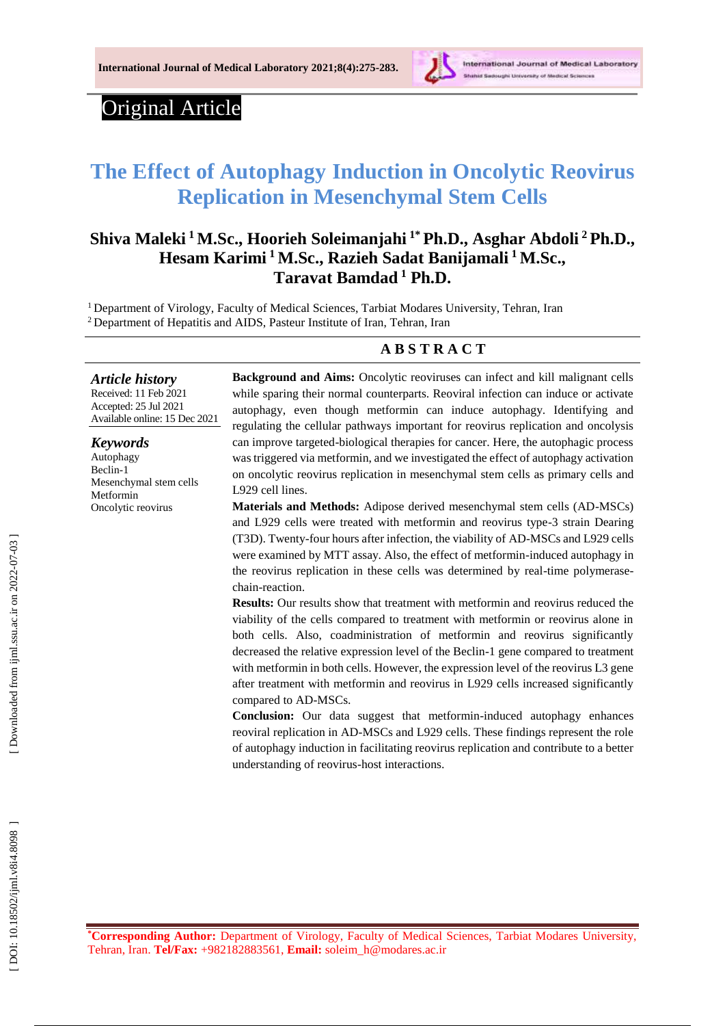

# Original Article

# **The Effect of Autophagy Induction in Oncolytic Reovirus Replication in Mesenchymal Stem Cells**

# **Shiva Maleki <sup>1</sup>M.Sc., Hoorieh Soleimanjahi 1\* Ph.D., Asghar Abdoli <sup>2</sup>Ph.D., Hesam Karimi <sup>1</sup>M.Sc., Razieh Sadat Banijamali <sup>1</sup>M.Sc., Taravat Bamdad <sup>1</sup> Ph.D.**

<sup>1</sup> Department of Virology, Faculty of Medical Sciences, Tarbiat Modares University, Tehran, Iran <sup>2</sup> Department of Hepatitis and AIDS, Pasteur Institute of Iran, Tehran, Iran

#### **A B S T R A C T**

# *Article history*

Received: 1 1 Feb 202 1 Accepted : 25 Jul 202 1 Available online : 15 Dec 20 2 1

#### *Keywords*

Autophagy Beclin - 1 Mesenchymal stem cells Metformin Oncolytic reovirus

**Background and Aims:** Oncolytic reoviruses can infect and kill malignant cells while sparing their normal counterparts. Reoviral infection can induce or activate autophagy, even though metformin can induce autophagy. Identifying and regulating the cellular pathways important for reovirus replication and oncolysis can improve targeted -biological therapies for cancer. Here, the autophagic process was triggered via metformin, and we investigated the effect of autophagy activation on oncolytic reovirus replication in mesenchymal stem cells as primary cells and L929 cell lines.

Materials and Methods: Adipose derived mesenchymal stem cells (AD-MSCs) and L929 cells were treated with metformin and reovirus type -3 strain Dearing (T3D). Twenty -four hours after infection, the viability of AD -MSCs and L929 cells were examined by MTT assay. Also, the effect of metformin -induced autophagy in the reovirus replication in these cells was determined by real-time polymerasechain -reaction .

**Results:** Our results show that treatment with metformin and reovirus reduced the viability of the cells compared to treatment with metformin or reovirus alone in both cells. Also, coadministration of metformin and reovirus significantly decreased the relative expression level of the Beclin -1 gene compared to treatment with metformin in both cells. However, the expression level of the reovirus L3 gene after treatment with metformin and reovirus in L929 cells increased significantly compared to AD -MSCs.

**Conclusion:** Our data suggest that metformin -induced autophagy enhances reoviral replication in AD -MSCs and L929 cells. These findings represent the role of autophagy induction in facilitating reovirus replication and contribute to a better understanding of reovirus -host interactions .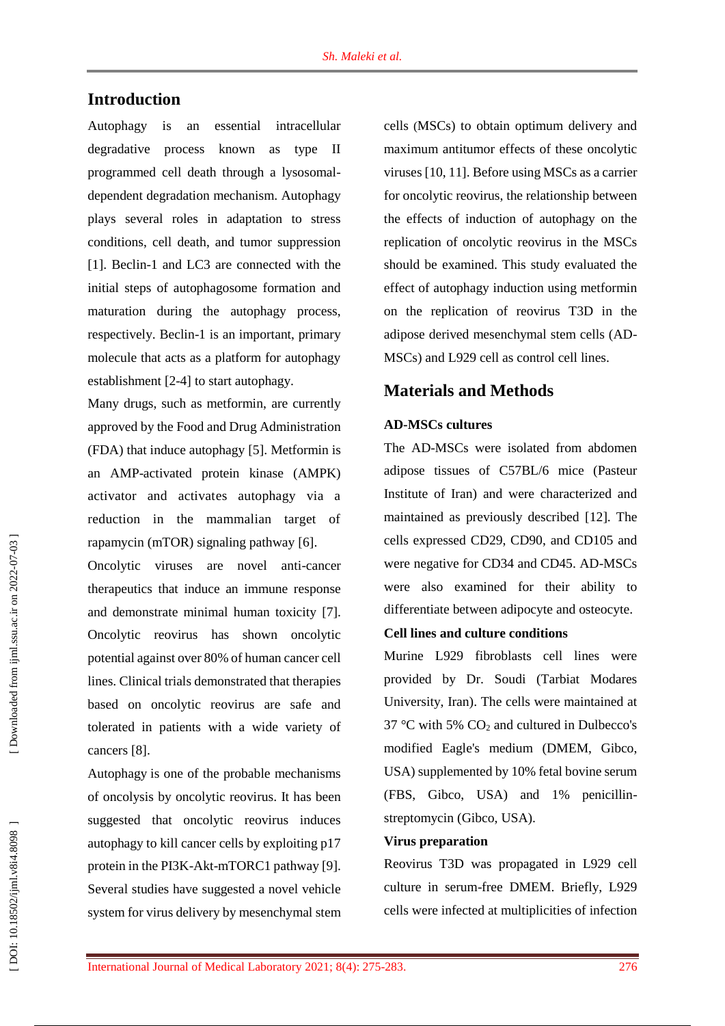## **Introduction**

Autophagy is an essential intracellular degradative process known as type II programmed cell death through a lysosomal dependent degradation mechanism. Autophagy plays several roles in adaptation to stress conditions, cell death, and tumor suppression [1]. Beclin-1 and LC3 are connected with the initial steps of autophagosome formation and maturation during the autophagy process, respectively. Beclin -1 is an important, primary molecule that acts as a platform for autophagy establishment [ 2 - 4 ] to start autophagy.

Many drugs, such as metformin, are currently approved by the Food and Drug Administration (FDA) that induce autophagy [ 5 ]. Metformin is an AMP -activated protein kinase (AMPK) activator and activates autophagy via a reduction in the mammalian target of rapamycin (mTOR) signaling pathway [6].

Oncolytic viruses are novel anti -cancer therapeutics that induce an immune response and demonstrate minimal human toxicity [7]. Oncolytic reovirus has shown oncolytic potential against over 80% of human cancer cell lines. Clinical trials demonstrated that therapies based on oncolytic reovirus are safe and tolerated in patients with a wide variety of cancers [8].

Autophagy is one of the probable mechanisms of oncolysis by oncolytic reovirus. It has been suggested that oncolytic reovirus induces autophagy to kill cancer cells by exploiting p17 protein in the PI3K-Akt-mTORC1 pathway [9]. Several studies have suggested a novel vehicle system for virus delivery by mesenchymal stem

cells (MSC s ) to obtain optimum delivery and maximum antitumor effects of these oncolytic viruses [10, 11 ]. Before using MSCs as a carrier for oncolytic reovirus, the relationship between the effects of induction of autophagy on the replication of oncolytic reovirus in the MSCs should be examined. This study evaluated the effect of autophagy induction using metformin on the replication of reovirus T3D in the adipose derived mesenchymal stem cells (AD - MSCs) and L929 cell as control cell lines.

# **Material s and Methods**

#### **AD -MSCs cultures**

The AD -MSCs were isolated from abdomen adipose tissues of C57BL/6 mice (Pasteur Institute of Iran) and were characterized and maintained as previously described [12 ]. The cells expressed CD29, CD90, and CD105 and were negative for CD34 and CD45. AD -MSCs were also examined for their ability to differentiate between adipocyte and osteocyte.

#### **Cell lines and culture conditions**

Murine L929 fibroblasts cell lines were provided by Dr. Soudi (Tarbiat Modares University, Iran). The cells were maintained at 37 °C with 5% CO <sup>2</sup> and cultured in Dulbecco's modified Eagle's medium (DMEM, Gibco, USA) supplemented by 10% fetal bovine serum (FBS, Gibco, USA) and 1% penicillin streptomycin (Gibco, USA).

#### **Virus preparation**

Reovirus T3D was propagated in L929 cell culture in serum -free DMEM. Briefly, L929 cells were infected at multiplicities of infection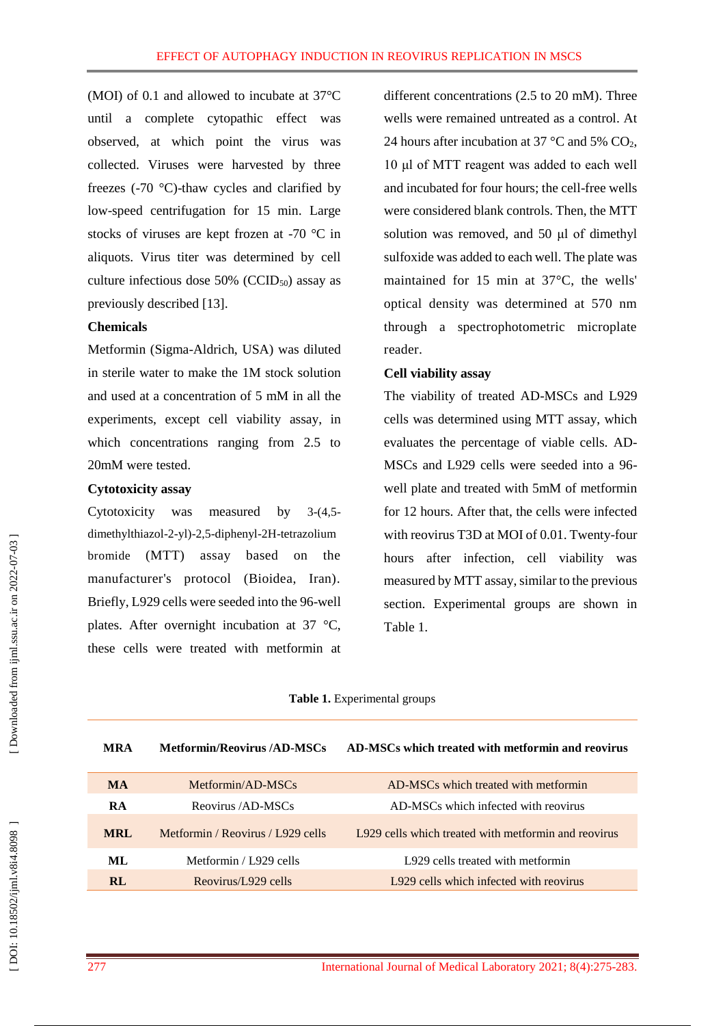(MOI) of 0.1 and allowed to incubate at 37°C until a complete cytopathic effect was observed, at which point the virus was collected. Viruses were harvested by three freezes (-70 °C)-thaw cycles and clarified by low -speed centrifugation for 15 min. Large stocks of viruses are kept frozen at -70  $^{\circ}$ C in aliquots. Virus titer was determined by cell culture infectious dose  $50\%$  (CCID<sub>50</sub>) assay as previously described [13 ] .

#### **Chemicals**

Metformin (Sigma -Aldrich, USA) was diluted in sterile water to make the 1M stock solution and used at a concentration of 5 mM in all the experiments, except cell viability assay, in which concentrations ranging from 2.5 to 20mM were tested.

#### **Cytotoxicity assay**

Cytotoxicity was measured by  $3-(4,5$ dimethylthiazol-2-yl)-2,5-diphenyl-2H-tetrazolium bromide (MTT) assay based on the manufacturer's protocol (Bioidea, Iran). Briefly, L929 cells were seeded into the 96 -well plates. After overnight incubation at 37 °C, these cells were treated with metformin at

different concentrations (2.5 to 20 mM). Three wells were remained untreated as a control. At 24 hours after incubation at 37  $\mathrm{^{\circ}C}$  and 5% CO<sub>2</sub>, 10 μl of MTT reagent was added to each well and incubated for four hours; the cell -free wells were considered blank controls. Then, the MTT solution was removed, and 50 μl of dimethyl sulfoxide was added to each well. The plate was maintained for 15 min at 37°C, the wells' optical density was determined at 570 nm through a spectrophotometric microplate reader.

#### **Cell viability assay**

The viability of treated AD-MSCs and L929 cells was determined using MTT assay, which evaluates the percentage of viable cells. AD - MSCs and L929 cells were seeded into a 96 well plate and treated with 5mM of metformin for 12 hours. After that, the cells were infected with reovirus T3D at MOI of 0.01. Twenty -four hours after infection, cell viability was measured by MTT assay, similar to the previous section. Experimental groups are shown in Table 1.

#### **Table 1.** Experimental groups

| <b>MRA</b> | Metformin/Reovirus /AD-MSCs       | AD-MSCs which treated with metformin and reovirus     |
|------------|-----------------------------------|-------------------------------------------------------|
| <b>MA</b>  | Metformin/AD-MSCs                 | AD-MSCs which treated with metformin                  |
| RA         | Reovirus /AD-MSCs                 | AD-MSCs which infected with reovirus                  |
| <b>MRL</b> | Metformin / Reovirus / L929 cells | 1.929 cells which treated with metformin and reovirus |
| ML         | Metformin / L929 cells            | L929 cells treated with metformin                     |
| <b>RL</b>  | Reovirus/L929 cells               | L929 cells which infected with reovirus               |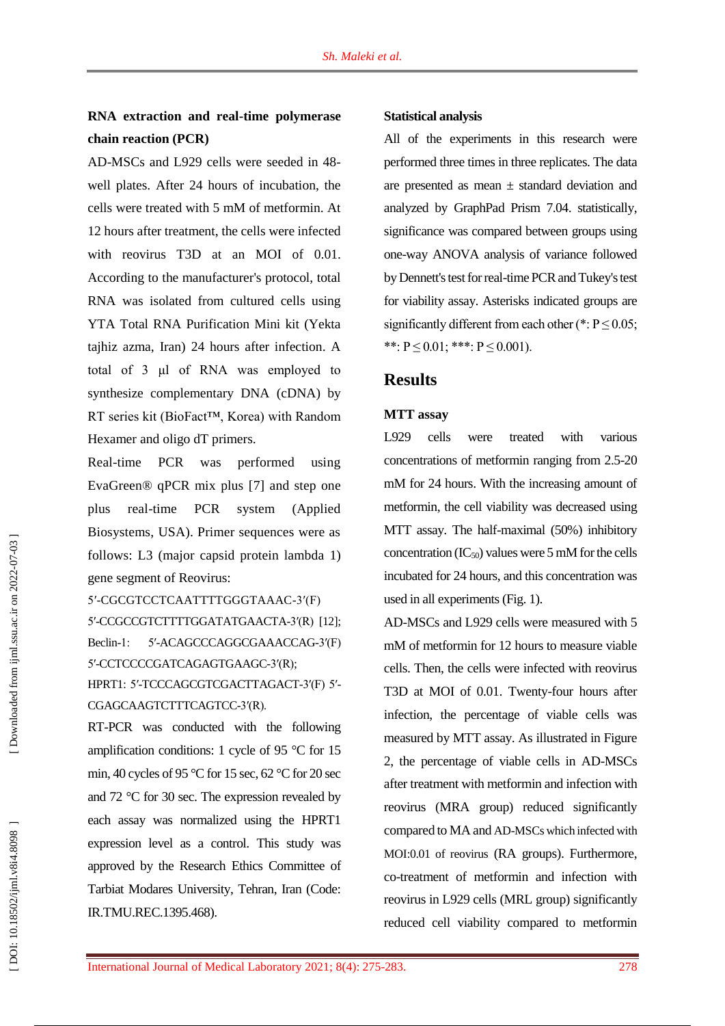# **RNA extraction and real -time polymerase chain reaction (PCR )**

AD -MSCs and L929 cells were seeded in 48 well plates. After 24 hours of incubation, the cells were treated with 5 mM of metformin. At 12 hours after treatment, the cells were infected with reovirus T3D at an MOI of 0.01. According to the manufacturer's protocol, total RNA was isolated from cultured cells using YTA Total RNA Purification Mini kit (Yekta tajhiz azma, Iran) 24 hours after infection. A total of 3 μl of RNA was employed to synthesize complementary DNA (cDNA) by RT series kit (BioFact™, Korea) with Random Hexamer and oligo dT primers.

Real-time PCR was performed using EvaGreen® qPCR mix plus [ 7 ] and step one plus real -time PCR system (Applied Biosystems, USA). Primer sequences were as follows: L3 (major capsid protein lambda 1) gene segment of Reovirus:

5′ -CGCGTCCTCAATTTTGGGTAAAC -3′(F) 5′ -CCGCCGTCTTTTGGATATGAACTA -3′(R) [12 ]; Beclin -1: 5′ -ACAGCCCAGGCGAAACCAG -3′(F) 5′ -CCTCCCCGATCAGAGTGAAGC -3′(R); HPRT1: 5'-TCCCAGCGTCGACTTAGACT-3'(F) 5'-CGAGCAAGTCTTTCAGTCC -3′(R).

RT -PCR was conducted with the following amplification conditions: 1 cycle of 95 °C for 15 min, 40 cycles of 95 °C for 15 sec, 62 °C for 20 sec and 72 °C for 30 sec. The expression revealed by each assay was normalized using the HPRT1 expression level as a control. This study was approved by the Research Ethics Committee of Tarbiat Modares University, Tehran, Iran (Code: IR.TMU.REC.1395.468).

#### **Statistical analysis**

All of the experiments in this research were performed three times in three replicates. The data are presented as mean  $\pm$  standard deviation and analyzed by GraphPad Prism 7.04. statistically, significance was compared between groups using one -way ANOVA analysis of variance followed by Dennett's test for real -time PCR and Tukey's test for viability assay. Asterisks indicated groups are significantly different from each other (\*:  $P \le 0.05$ ; \*\*:  $P \le 0.01$ ; \*\*\*:  $P \le 0.001$ ).

### **Results**

#### **MTT assay**

L929 cells were treated with various concentrations of metformin ranging from 2.5 -20 mM for 24 hours. With the increasing amount of metformin, the cell viability was decreased using MTT assay. The half-maximal (50%) inhibitory concentration  $(IC_{50})$  values were 5 mM for the cells incubated for 24 hours, and this concentration was used in all experiments (Fig . 1).

AD -MSCs and L929 cells were measured with 5 mM of metformin for 12 hours to measure viable cells. Then, the cells were infected with reovirus T3D at MOI of 0.01. Twenty -four hours after infection, the percentage of viable cells was measured by MTT assay. As illustrated in Figure 2, the percentage of viable cells in AD -MSCs after treatment with metformin and infection with reovirus (MRA group) reduced significantly compared to MA and AD -MSCs which infected with MOI:0.01 of reovirus (RA groups ). Furthermore, co -treatment of metformin and infection with reovirus in L929 cells (MRL group) significantly reduced cell viability compared to metformin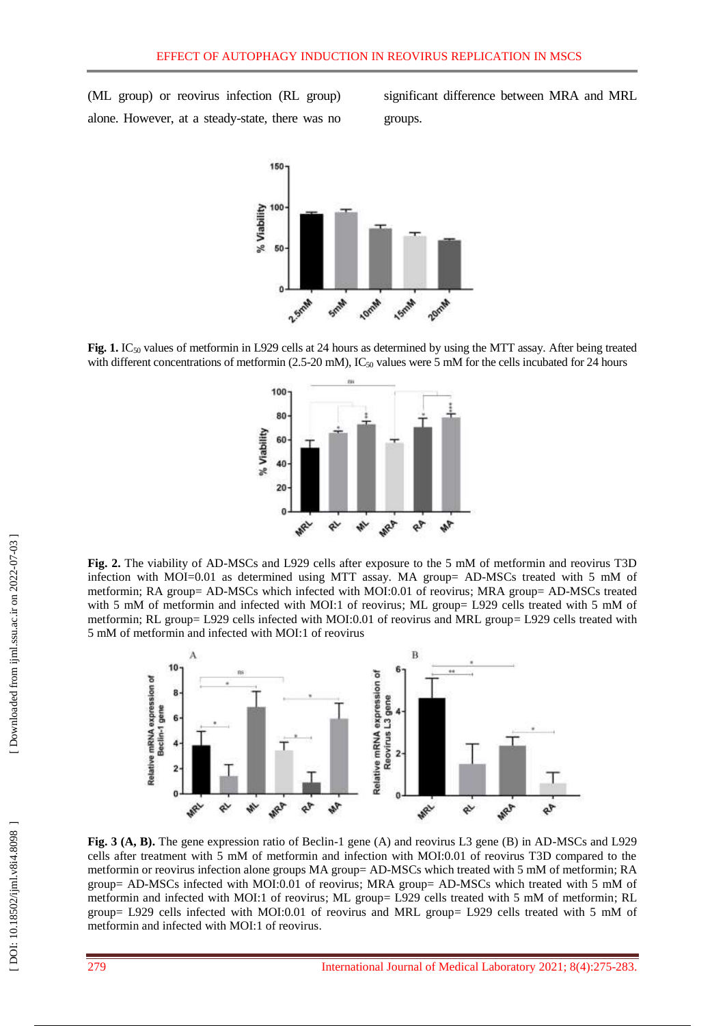(ML group) or reovirus infection (RL group) alone. However, at a steady-state, there was no significant difference between MRA and MRL groups.



**Fig. 1.** IC<sub>50</sub> values of metformin in L929 cells at 24 hours as determined by using the MTT assay. After being treated with different concentrations of metformin (2.5-20 mM), IC<sub>50</sub> values were 5 mM for the cells incubated for 24 hours



**Fig . 2.** The viability of AD -MSCs and L929 cells after exposure to the 5 mM of metformin and reovirus T3D infection with MOI=0.01 as determined using MTT assay. MA group= AD-MSCs treated with 5 mM of metformin; RA group= AD-MSCs which infected with MOI:0.01 of reovirus; MRA group= AD-MSCs treated with 5 mM of metformin and infected with MOI:1 of reovirus; ML group= L929 cells treated with 5 mM of metformin; RL group= L929 cells infected with MOI:0.01 of reovirus and MRL group= L929 cells treated with 5 mM of metformin and infected with MOI:1 of reovirus



**Fig. 3 (A, B).** The gene expression ratio of Beclin-1 gene (A) and reovirus L3 gene (B) in AD-MSCs and L929 cells after treatment with 5 mM of metformin and infection with MOI:0.01 of reovirus T3D compared to the metformin or reovirus infection alone groups MA group= AD-MSCs which treated with 5 mM of metformin; RA group = AD -MSCs infected with MOI:0.01 of reovirus ; MRA group = AD -MSCs which treated with 5 mM of metformin and infected with MOI:1 of reovirus; ML group= L929 cells treated with 5 mM of metformin; RL group = L929 cells infected with MOI:0.01 of reovirus and MRL group = L929 cells treated with 5 mM of metformin and infected with MOI:1 of reovirus .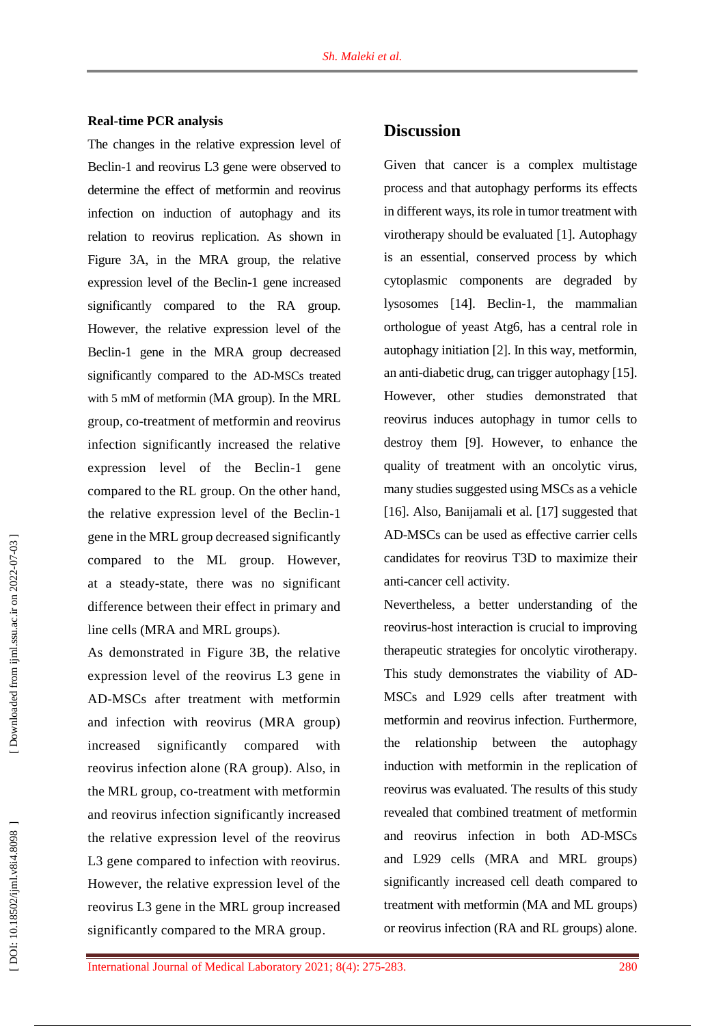#### **Real -time PCR analysis**

The changes in the relative expression level of Beclin -1 and reovirus L3 gene were observed to determine the effect of metformin and reovirus infection on induction of autophagy and its relation to reovirus replication. As shown in Figure 3A, in the MRA group, the relative expression level of the Beclin -1 gene increased significantly compared to the RA group. However, the relative expression level of the Beclin -1 gene in the MRA group decreased significantly compared to the AD -MSCs treated with 5 mM of metformin (MA group). In the MRL group, co -treatment of metformin and reovirus infection significantly increased the relative expression level of the Beclin -1 gene compared to the RL group. On the other hand, the relative expression level of the Beclin -1 gene in the MRL group decreased significantly compared to the ML group. However, at a steady -state, there was no significant difference between their effect in primary and line cells (MRA and MRL groups).

As demonstrated in Figure 3B, the relative expression level of the reovirus L3 gene in AD -MSCs after treatment with metformin and infection with reovirus (MRA group) increased significantly compared with reovirus infection alone (RA group). Also, in the MRL group, co -treatment with metformin and reovirus infection significantly increased the relative expression level of the reovirus L<sub>3</sub> gene compared to infection with reovirus. However, the relative expression level of the reovirus L3 gene in the MRL group increased significantly compared to the MRA group .

# **Discussion**

Given that cancer is a complex multistage process and that autophagy performs its effects in different ways, its role in tumor treatment with virotherapy should be evaluated [ 1 ]. Autophagy is an essential, conserved process by which cytoplasmic components are degraded by lysosomes [14 ]. Beclin -1, the mammalian orthologue of yeast Atg6, has a central role in autophagy initiation [ 2 ]. In this way, metformin, an anti -diabetic drug, can trigger autophagy [1 5 ]. However, other studies demonstrated that reovirus induces autophagy in tumor cells to destroy them [ 9 ]. However, to enhance the quality of treatment with an oncolytic virus, many studies suggested using MSCs as a vehicle [16]. Also, Banijamali et al. [17] suggested that AD -MSCs can be used as effective carrier cells candidates for reovirus T3D to maximize their anti -cancer cell activity.

Nevertheless, a better understanding of the reovirus -host interaction is crucial to improving therapeutic strategies for oncolytic virotherapy. This study demonstrates the viability of AD-MSCs and L929 cells after treatment with metformin and reovirus infection. Furthermore, the relationship between the autophagy induction with metformin in the replication of reovirus was evaluated. The results of this study revealed that combined treatment of metformin and reovirus infection in both AD -MSCs and L929 cells (MRA and MRL groups) significantly increased cell death compared to treatment with metformin (MA and ML groups) or reovirus infection (RA and RL groups) alone.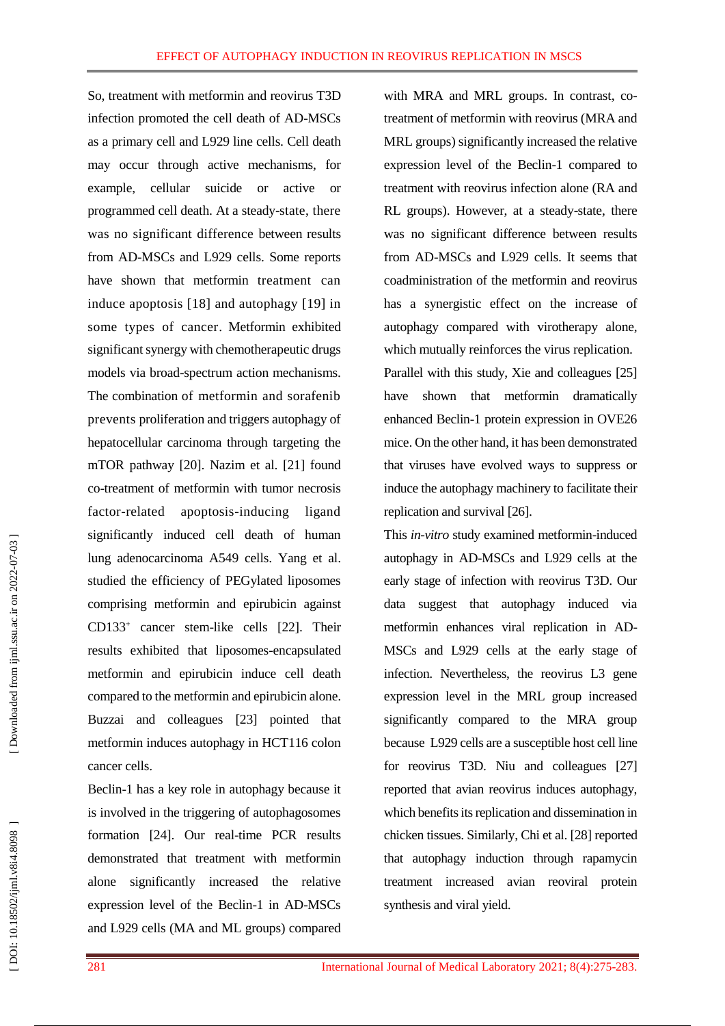So, treatment with metformin and reovirus T3D infection promoted the cell death of AD -MSCs as a primary cell and L929 line cells. Cell death may occur through active mechanisms, for example, cellular suicide or active or programmed cell death. At a steady -state, there was no significant difference between results from AD -MSCs and L929 cells. Some reports have shown that metformin treatment can induce apoptosis [18] and autophagy [19] in some types of cancer. Metformin exhibited significant synergy with chemotherapeutic drugs models via broad -spectrum action mechanisms. The combination of metformin and sorafenib prevents proliferation and triggers autophagy of hepatocellular carcinoma through targeting the mTOR pathway [20 ]. Nazim et al. [21 ] found co -treatment of metformin with tumor necrosis factor -related apoptosis -inducing ligand significantly induced cell death of human lung adenocarcinoma A549 cells. Yang et al. studied the efficiency of PEGylated liposomes comprising metformin and epirubicin against CD133 + cancer stem -like cells [22 ]. Their results exhibited that liposomes -encapsulated metformin and epirubicin induce cell death compared to the metformin and epirubicin alone. Buzzai and colleagues [23 ] pointed that metformin induces autophagy in HCT116 colon cancer cells.

Beclin -1 has a key role in autophagy because it is involved in the triggering of autophagosomes formation [24 ]. Our real -time PCR results demonstrated that treatment with metformin alone significantly increased the relative expression level of the Beclin -1 in AD -MSCs and L929 cells (MA and ML groups) compared

with MRA and MRL groups. In contrast, cotreatment of metformin with reovirus (MRA and MRL groups) significantly increased the relative expression level of the Beclin -1 compared to treatment with reovirus infection alone (RA and RL groups). However, at a steady-state, there was no significant difference between results from AD -MSCs and L929 cells. It seems that coadministration of the metformin and reovirus has a synergistic effect on the increase of autophagy compared with virotherapy alone, which mutually reinforces the virus replication. Parallel with this study, Xie and colleagues [25 ] have shown that metformin dramatically enhanced Beclin -1 protein expression in OVE26 mice. On the other hand, it has been demonstrated that viruses have evolved ways to suppress or induce the autophagy machinery to facilitate their replication and survival [26 ] .

This *in-vitro* study examined metformin-induced autophagy in AD -MSCs and L929 cells at the early stage of infection with reovirus T3D. Our data suggest that autophagy induced via metformin enhances viral replication in AD - MSCs and L929 cells at the early stage of infection. Nevertheless, the reovirus L3 gene expression level in the MRL group increased significantly compared to the MRA group because L929 cells are a susceptible host cell line for reovirus T3D. Niu and colleagues [27 ] reported that avian reovirus induces autophagy, which benefits its replication and dissemination in chicken tissues. Similarly, Chi et al. [28 ] reported that autophagy induction through rapamycin treatment increased avian reoviral protein synthesis and viral yield.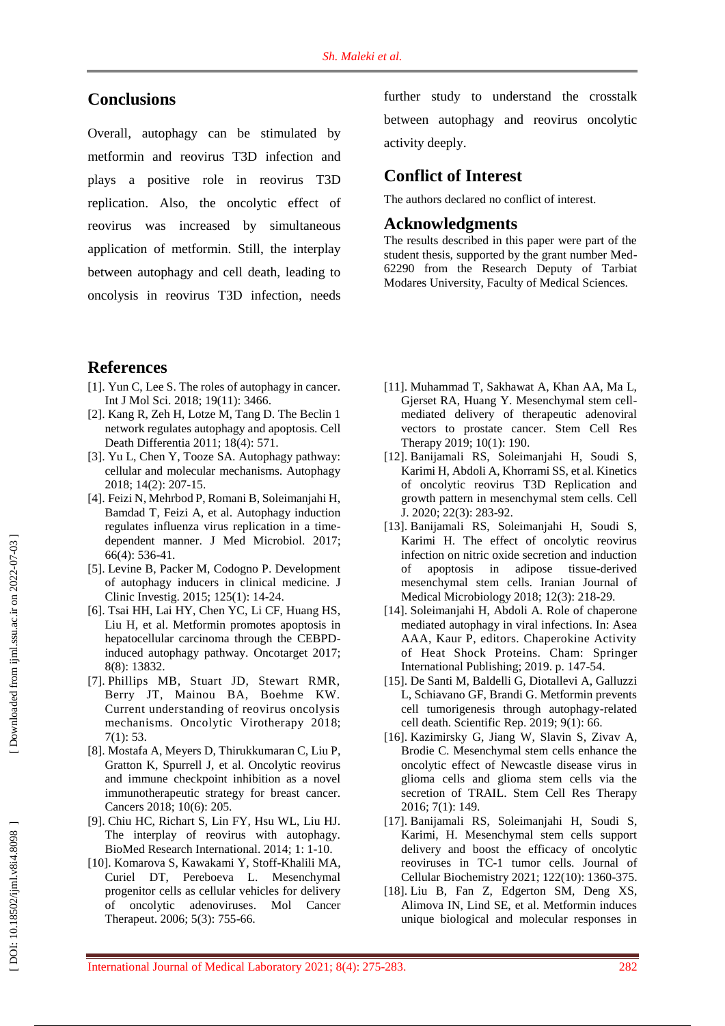# **Conclusions**

Overall, autophagy can be stimulated by metformin and reovirus T3D infection and plays a positive role in reovirus T3D replication. Also, the oncolytic effect of reovirus was increased by simultaneous application of metformin. Still, the interplay between autophagy and cell death, leading to oncolysis in reovirus T3D infection, needs

# **References**

- [1]. Yun C, Lee S. The roles of autophagy in cancer. In t J Mol Sci. 2018; 19(11): 3466.
- [ 2]. Kang R, Zeh H, Lotze M, Tang D. The Beclin 1 network regulates autophagy and apoptosis. Cell Death Differentia 2011; 18(4): 571.
- [ 3]. Yu L, Chen Y, Tooze SA. Autophagy pathway: cellular and molecular mechanisms. Autophagy 2018; 14(2): 207 -15.
- [ 4]. Feizi N, Mehrbod P, Romani B, Soleimanjahi H, Bamdad T, Feizi A, et al. Autophagy induction regulates influenza virus replication in a time dependent manner. J Med Microbiol. 2017; 66(4): 536 -41.
- [ 5]. Levine B, Packer M, Codogno P. Development of autophagy inducers in clinical medicine. J Clinic Investig. 2015; 125(1): 14 -24.
- [ 6]. Tsai HH, Lai HY, Chen YC, Li CF, Huang HS, Liu H, et al. Metformin promotes apoptosis in hepatocellular carcinoma through the CEBPD induced autophagy pathway. Oncotarget 2017; 8(8): 13832.
- [ 7]. Phillips MB, Stuart JD, Stewart RMR, Berry JT, Mainou BA, Boehme KW. Current understanding of reovirus oncolysis mechanisms. Oncolytic Virotherapy 2018; 7(1) : 53.
- [ 8]. Mostafa A, Meyers D, Thirukkumaran C, Liu P, Gratton K, Spurrell J, et al. Oncolytic reovirus and immune checkpoint inhibition as a novel immunotherapeutic strategy for breast cancer. Cancers 2018; 10(6): 205.
- [ 9]. Chiu HC, Richart S, Lin FY, Hsu WL, Liu HJ. The interplay of reovirus with autophagy. BioMed Research International. 2014; 1: 1 -10.
- [10]. Komarova S, Kawakami Y, Stoff -Khalili MA, Curiel DT, Pereboeva L. Mesenchymal progenitor cells as cellular vehicles for delivery of oncolytic adenoviruses. Mol Cancer Therapeut. 2006; 5(3): 755 -66.

further study to understand the crosstalk between autophagy and reovirus oncolytic activity deeply.

## **Conflict of Interest**

The authors declared no conflict of interest.

## **Acknowledgments**

The results described in this paper were part of the student thesis, supported by the grant number Med - 62290 from the Research Deputy of Tarbiat Modares University, Faculty of Medical Sciences.

- [11]. Muhammad T, Sakhawat A, Khan AA, Ma L, Gjerset RA, Huang Y. Mesenchymal stem cell mediated delivery of therapeutic adenoviral vectors to prostate cancer. Stem Cell Res Therapy 2019; 10(1): 190.
- [12]. Banijamali RS, Soleimanjahi H, Soudi S, Karimi H, Abdoli A, Khorrami SS, et al. Kinetics of oncolytic reovirus T3D Replication and growth pattern in mesenchymal stem cells. Cell J. 2020; 22(3): 283 -92.
- [13]. Banijamali RS, Soleimanjahi H, Soudi S, Karimi H. The effect of oncolytic reovirus infection on nitric oxide secretion and induction of apoptosis in adipose tissue -derived mesenchymal stem cells. Iranian Journal of Medical Microbiology 2018; 12(3): 218 -29.
- [14]. Soleimanjahi H, Abdoli A. Role of chaperone mediated autophagy in viral infections. In: Asea AAA, Kaur P, editors. Chaperokine Activity of Heat Shock Proteins. Cham: Springer International Publishing; 2019. p. 147 -54.
- [15]. De Santi M, Baldelli G, Diotallevi A, Galluzzi L, Schiavano GF, Brandi G. Metformin prevents cell tumorigenesis through autophagy -related cell death. Scientific Rep . 2019; 9(1): 66.
- [16]. Kazimirsky G, Jiang W, Slavin S, Ziv av A, Brodie C. Mesenchymal stem cells enhance the oncolytic effect of Newcastle disease virus in glioma cells and glioma stem cells via the secretion of TRAIL. Stem Cell Res Therapy 2016; 7(1): 149.
- [17]. Banijamali RS, Soleimanjahi H, Soudi S, Karimi, H. Mesenchymal stem cells support delivery and boost the efficacy of oncolytic reoviruses in TC - 1 tumor cells. Journal of Cellular Biochemistry 2021; 122(10): 1360 -375 .
- [18]. Liu B, Fan Z, Edgerton SM, Deng XS, Alimova IN, Lind SE, et al. Metformin induces unique biological and molecular responses in